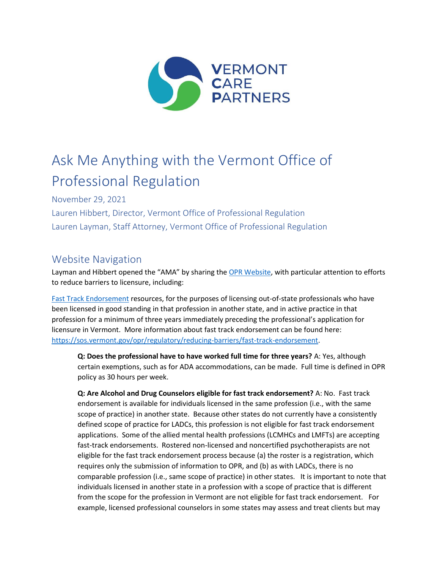

# Ask Me Anything with the Vermont Office of Professional Regulation

November 29, 2021

Lauren Hibbert, Director, Vermont Office of Professional Regulation Lauren Layman, Staff Attorney, Vermont Office of Professional Regulation

## Website Navigation

Layman and Hibbert opened the "AMA" by sharing th[e OPR Website,](https://sos.vermont.gov/opr/) with particular attention to efforts to reduce barriers to licensure, including:

[Fast Track Endorsement](https://sos.vermont.gov/opr/regulatory/reducing-barriers/fast-track-endorsement/) resources, for the purposes of licensing out-of-state professionals who have been licensed in good standing in that profession in another state, and in active practice in that profession for a minimum of three years immediately preceding the professional's application for licensure in Vermont. More information about fast track endorsement can be found here: [https://sos.vermont.gov/opr/regulatory/reducing-barriers/fast-track-endorsement.](https://sos.vermont.gov/opr/regulatory/reducing-barriers/fast-track-endorsement)

**Q: Does the professional have to have worked full time for three years?** A: Yes, although certain exemptions, such as for ADA accommodations, can be made. Full time is defined in OPR policy as 30 hours per week.

**Q: Are Alcohol and Drug Counselors eligible for fast track endorsement?** A: No. Fast track endorsement is available for individuals licensed in the same profession (i.e., with the same scope of practice) in another state. Because other states do not currently have a consistently defined scope of practice for LADCs, this profession is not eligible for fast track endorsement applications. Some of the allied mental health professions (LCMHCs and LMFTs) are accepting fast-track endorsements. Rostered non-licensed and noncertified psychotherapists are not eligible for the fast track endorsement process because (a) the roster is a registration, which requires only the submission of information to OPR, and (b) as with LADCs, there is no comparable profession (i.e., same scope of practice) in other states. It is important to note that individuals licensed in another state in a profession with a scope of practice that is different from the scope for the profession in Vermont are not eligible for fast track endorsement. For example, licensed professional counselors in some states may assess and treat clients but may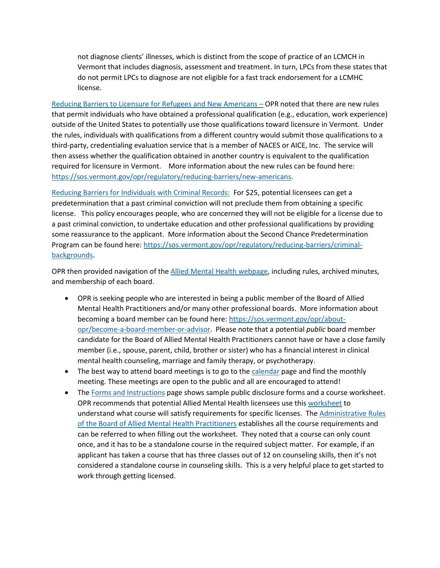not diagnose clients' illnesses, which is distinct from the scope of practice of an LCMCH in Vermont that includes diagnosis, assessment and treatment. In turn, LPCs from these states that do not permit LPCs to diagnose are not eligible for a fast track endorsement for a LCMHC license.

[Reducing Barriers to Licensure for Refugees and New Americans](https://sos.vermont.gov/opr/regulatory/reducing-barriers/new-americans/) – OPR noted that there are new rules that permit individuals who have obtained a professional qualification (e.g., education, work experience) outside of the United States to potentially use those qualifications toward licensure in Vermont. Under the rules, individuals with qualifications from a different country would submit those qualifications to a third-party, credentialing evaluation service that is a member of NACES or AICE, Inc. The service will then assess whether the qualification obtained in another country is equivalent to the qualification required for licensure in Vermont. More information about the new rules can be found here: [https://sos.vermont.gov/opr/regulatory/reducing-barriers/new-americans.](https://sos.vermont.gov/opr/regulatory/reducing-barriers/new-americans)

[Reducing Barriers for Individuals with Criminal Records:](https://sos.vermont.gov/opr/regulatory/reducing-barriers/criminal-backgrounds/) For \$25, potential licensees can get a predetermination that a past criminal conviction will not preclude them from obtaining a specific license. This policy encourages people, who are concerned they will not be eligible for a license due to a past criminal conviction, to undertake education and other professional qualifications by providing some reassurance to the applicant. More information about the Second Chance Predetermination Program can be found here: [https://sos.vermont.gov/opr/regulatory/reducing-barriers/criminal](https://sos.vermont.gov/opr/regulatory/reducing-barriers/criminal-backgrounds)[backgrounds.](https://sos.vermont.gov/opr/regulatory/reducing-barriers/criminal-backgrounds)

OPR then provided navigation of th[e Allied Mental Health webpage,](https://sos.vermont.gov/allied-mental-health/) including rules, archived minutes, and membership of each board.

- OPR is seeking people who are interested in being a public member of the Board of Allied Mental Health Practitioners and/or many other professional boards. More information about becoming a board member can be found here[: https://sos.vermont.gov/opr/about](https://sos.vermont.gov/opr/about-opr/become-a-board-member-or-advisor)[opr/become-a-board-member-or-advisor.](https://sos.vermont.gov/opr/about-opr/become-a-board-member-or-advisor) Please note that a potential *public* board member candidate for the Board of Allied Mental Health Practitioners cannot have or have a close family member (i.e., spouse, parent, child, brother or sister) who has a financial interest in clinical mental health counseling, marriage and family therapy, or psychotherapy.
- The best way to attend board meetings is to go to th[e calendar](https://sos.vermont.gov/opr-event-calendar/) page and find the monthly meeting. These meetings are open to the public and all are encouraged to attend!
- The [Forms and Instructions](https://sos.vermont.gov/allied-mental-health/forms-instructions/) page shows sample public disclosure forms and a course worksheet. OPR recommends that potential Allied Mental Health licensees use thi[s worksheet](https://cms.sec.state.vt.us:8443/share/s/ZoJDDSOJQQmm2k9Q931LxQ) to understand what course will satisfy requirements for specific licenses. Th[e Administrative Rules](https://sos.vermont.gov/media/0jyhuiuj/amh-rules-adopted-final-sos-jan-2015.pdf)  [of the Board of Allied Mental Health Practitioners](https://sos.vermont.gov/media/0jyhuiuj/amh-rules-adopted-final-sos-jan-2015.pdf) establishes all the course requirements and can be referred to when filling out the worksheet. They noted that a course can only count once, and it has to be a standalone course in the required subject matter. For example, if an applicant has taken a course that has three classes out of 12 on counseling skills, then it's not considered a standalone course in counseling skills. This is a very helpful place to get started to work through getting licensed.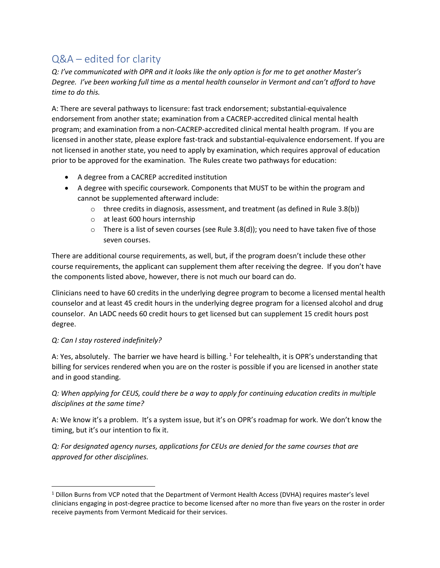# Q&A – edited for clarity

*Q: I've communicated with OPR and it looks like the only option is for me to get another Master's Degree. I've been working full time as a mental health counselor in Vermont and can't afford to have time to do this.*

A: There are several pathways to licensure: fast track endorsement; substantial-equivalence endorsement from another state; examination from a CACREP-accredited clinical mental health program; and examination from a non-CACREP-accredited clinical mental health program. If you are licensed in another state, please explore fast-track and substantial-equivalence endorsement. If you are not licensed in another state, you need to apply by examination, which requires approval of education prior to be approved for the examination. The Rules create two pathways for education:

- A degree from a CACREP accredited institution
- A degree with specific coursework. Components that MUST to be within the program and cannot be supplemented afterward include:
	- $\circ$  three credits in diagnosis, assessment, and treatment (as defined in Rule 3.8(b))
	- o at least 600 hours internship
	- $\circ$  There is a list of seven courses (see Rule 3.8(d)); you need to have taken five of those seven courses.

There are additional course requirements, as well, but, if the program doesn't include these other course requirements, the applicant can supplement them after receiving the degree. If you don't have the components listed above, however, there is not much our board can do.

Clinicians need to have 60 credits in the underlying degree program to become a licensed mental health counselor and at least 45 credit hours in the underlying degree program for a licensed alcohol and drug counselor. An LADC needs 60 credit hours to get licensed but can supplement 15 credit hours post degree.

### *Q: Can I stay rostered indefinitely?*

A: Yes, absolutely. The barrier we have heard is billing. <sup>1</sup> For telehealth, it is OPR's understanding that billing for services rendered when you are on the roster is possible if you are licensed in another state and in good standing.

*Q: When applying for CEUS, could there be a way to apply for continuing education credits in multiple disciplines at the same time?*

A: We know it's a problem. It's a system issue, but it's on OPR's roadmap for work. We don't know the timing, but it's our intention to fix it.

*Q: For designated agency nurses, applications for CEUs are denied for the same courses that are approved for other disciplines.*

<sup>1</sup> Dillon Burns from VCP noted that the Department of Vermont Health Access (DVHA) requires master's level clinicians engaging in post-degree practice to become licensed after no more than five years on the roster in order receive payments from Vermont Medicaid for their services.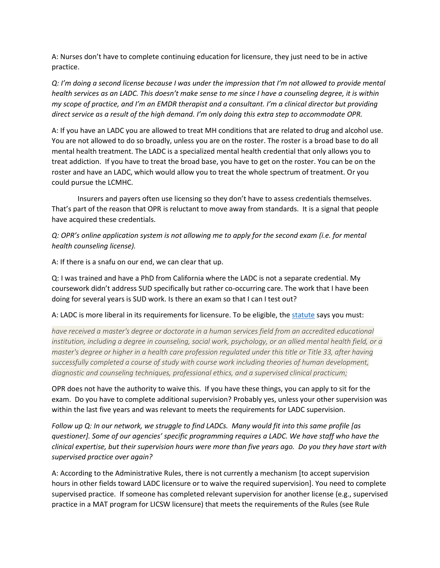A: Nurses don't have to complete continuing education for licensure, they just need to be in active practice.

*Q: I'm doing a second license because I was under the impression that I'm not allowed to provide mental health services as an LADC. This doesn't make sense to me since I have a counseling degree, it is within my scope of practice, and I'm an EMDR therapist and a consultant. I'm a clinical director but providing direct service as a result of the high demand. I'm only doing this extra step to accommodate OPR.* 

A: If you have an LADC you are allowed to treat MH conditions that are related to drug and alcohol use. You are not allowed to do so broadly, unless you are on the roster. The roster is a broad base to do all mental health treatment. The LADC is a specialized mental health credential that only allows you to treat addiction. If you have to treat the broad base, you have to get on the roster. You can be on the roster and have an LADC, which would allow you to treat the whole spectrum of treatment. Or you could pursue the LCMHC.

Insurers and payers often use licensing so they don't have to assess credentials themselves. That's part of the reason that OPR is reluctant to move away from standards. It is a signal that people have acquired these credentials.

*Q: OPR's online application system is not allowing me to apply for the second exam (i.e. for mental health counseling license).* 

A: If there is a snafu on our end, we can clear that up.

Q: I was trained and have a PhD from California where the LADC is not a separate credential. My coursework didn't address SUD specifically but rather co-occurring care. The work that I have been doing for several years is SUD work. Is there an exam so that I can I test out?

#### A: LADC is more liberal in its requirements for licensure. To be eligible, the [statute](https://legislature.vermont.gov/statutes/section/26/062/03236) says you must:

have received a master's degree or doctorate in a human services field from an accredited educational *institution, including a degree in counseling, social work, psychology, or an allied mental health field, or a master's degree or higher in a health care profession regulated under this title or Title 33, after having successfully completed a course of study with course work including theories of human development, diagnostic and counseling techniques, professional ethics, and a supervised clinical practicum;*

OPR does not have the authority to waive this. If you have these things, you can apply to sit for the exam. Do you have to complete additional supervision? Probably yes, unless your other supervision was within the last five years and was relevant to meets the requirements for LADC supervision.

*Follow up Q: In our network, we struggle to find LADCs. Many would fit into this same profile [as questioner]. Some of our agencies' specific programming requires a LADC. We have staff who have the clinical expertise, but their supervision hours were more than five years ago. Do you they have start with supervised practice over again?*

A: According to the Administrative Rules, there is not currently a mechanism [to accept supervision hours in other fields toward LADC licensure or to waive the required supervision]. You need to complete supervised practice. If someone has completed relevant supervision for another license (e.g., supervised practice in a MAT program for LICSW licensure) that meets the requirements of the Rules (see Rule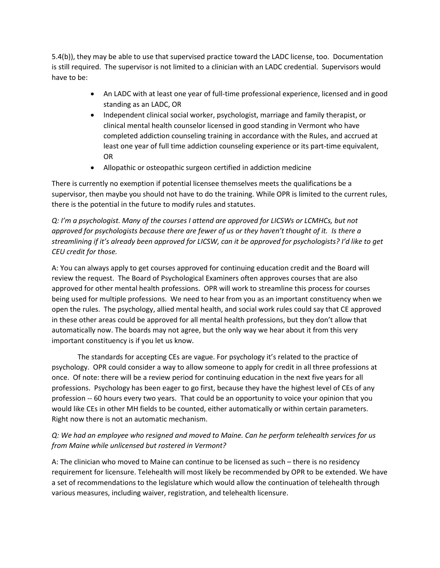5.4(b)), they may be able to use that supervised practice toward the LADC license, too. Documentation is still required. The supervisor is not limited to a clinician with an LADC credential. Supervisors would have to be:

- An LADC with at least one year of full-time professional experience, licensed and in good standing as an LADC, OR
- Independent clinical social worker, psychologist, marriage and family therapist, or clinical mental health counselor licensed in good standing in Vermont who have completed addiction counseling training in accordance with the Rules, and accrued at least one year of full time addiction counseling experience or its part-time equivalent, OR
- Allopathic or osteopathic surgeon certified in addiction medicine

There is currently no exemption if potential licensee themselves meets the qualifications be a supervisor, then maybe you should not have to do the training. While OPR is limited to the current rules, there is the potential in the future to modify rules and statutes.

*Q: I'm a psychologist. Many of the courses I attend are approved for LICSWs or LCMHCs, but not approved for psychologists because there are fewer of us or they haven't thought of it. Is there a streamlining if it's already been approved for LICSW, can it be approved for psychologists? I'd like to get CEU credit for those.* 

A: You can always apply to get courses approved for continuing education credit and the Board will review the request. The Board of Psychological Examiners often approves courses that are also approved for other mental health professions. OPR will work to streamline this process for courses being used for multiple professions. We need to hear from you as an important constituency when we open the rules. The psychology, allied mental health, and social work rules could say that CE approved in these other areas could be approved for all mental health professions, but they don't allow that automatically now. The boards may not agree, but the only way we hear about it from this very important constituency is if you let us know.

The standards for accepting CEs are vague. For psychology it's related to the practice of psychology. OPR could consider a way to allow someone to apply for credit in all three professions at once. Of note: there will be a review period for continuing education in the next five years for all professions. Psychology has been eager to go first, because they have the highest level of CEs of any profession -- 60 hours every two years. That could be an opportunity to voice your opinion that you would like CEs in other MH fields to be counted, either automatically or within certain parameters. Right now there is not an automatic mechanism.

## *Q: We had an employee who resigned and moved to Maine. Can he perform telehealth services for us from Maine while unlicensed but rostered in Vermont?*

A: The clinician who moved to Maine can continue to be licensed as such – there is no residency requirement for licensure. Telehealth will most likely be recommended by OPR to be extended. We have a set of recommendations to the legislature which would allow the continuation of telehealth through various measures, including waiver, registration, and telehealth licensure.